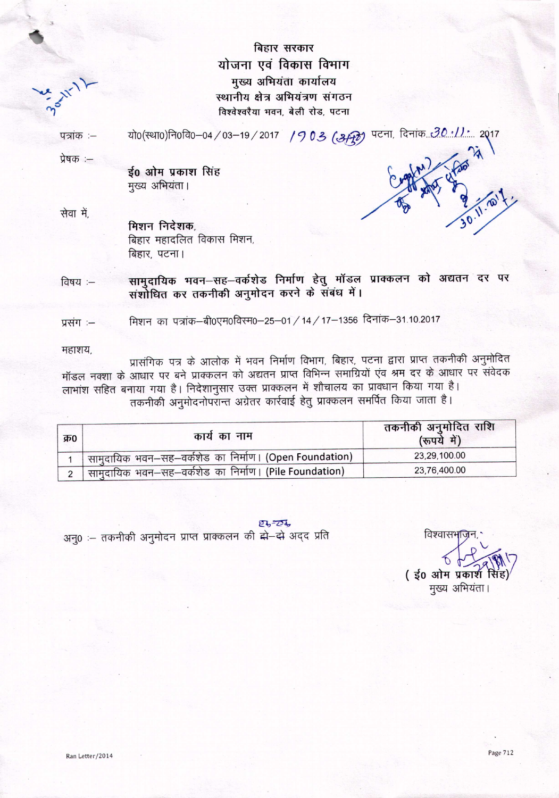बिहार सरकार योजना एवं विकास विभाग मुख्य अभियंता कार्यालय स्थानीय क्षेत्र अभियंत्रण संगठन विश्वेश्वरैया भवन, बेली रोड, पटना

यो0(स्था0)नि0वि0-04/03-19/2017 / 903 (अम्क्री) पटना, दिनांक 30.11: 2017 पत्रांक :-

प्रेषक :--

ई0 ओम प्रकाश सिंह मुख्य अभियंता।

सेवा में.

मिशन निदेशक, बिहार महादलित विकास मिशन, बिहार, पटना।

सामुदायिक भवन–सह–वर्कशेड निर्माण हेतु मॉडल प्राक्कलन को अद्यतन दर पर विषय :-संशोधित कर तकनीकी अनुमोदन करने के संबंध में।

मिशन का पत्रांक-बी0एम0विरम0-25-01 / 14 / 17-1356 दिनांक-31.10.2017 प्रसंग :-

महाशय,

प्रासंगिक पत्र के आलोक में भवन निर्माण विभाग, बिहार, पटना द्वारा प्राप्त तकनीकी अनुमोदित मॉडल नक्शा के आधार पर बने प्राक्कलन को अद्यतन प्राप्त विभिन्न समाग्रियों एंव श्रम दर के आधार पर संवेदक लाभांश सहित बनाया गया है। निदेशानुसार उक्त प्राक्कलन में शौचालय का प्रावधान किया गया है। तकनीकी अनुमोदनोपरान्त अग्रेतर कार्रवाई हेतु प्राक्कलन समर्पित किया जाता है।

| क्र0 | कार्य का नाम                                             | तकनीकी अनुमोदित राशि<br>(रूपये में) |  |
|------|----------------------------------------------------------|-------------------------------------|--|
|      | र्मामुदायिक भवन–सह–वर्कशेड का निर्माण। (Open Foundation) | 23,29,100.00                        |  |
|      | सामुदायिक भवन–सह–वर्कशेड का निर्माण। (Pile Foundation)   | 23,76,400.00                        |  |

 $24 - 24$ अनु0 :- तकनीकी अनुमोदन प्राप्त प्राक्कलन की से-से अदद प्रति

विश्वासभन् (ई0 ओम प्रकार्श मुख्य अभियंता।

Page 712